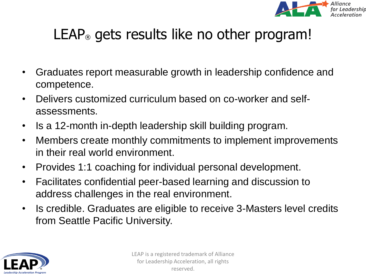

# LEAP<sup>®</sup> gets results like no other program!

- Graduates report measurable growth in leadership confidence and competence.
- Delivers customized curriculum based on co-worker and selfassessments.
- Is a 12-month in-depth leadership skill building program.
- Members create monthly commitments to implement improvements in their real world environment.
- Provides 1:1 coaching for individual personal development.
- Facilitates confidential peer-based learning and discussion to address challenges in the real environment.
- Is credible. Graduates are eligible to receive 3-Masters level credits from Seattle Pacific University.

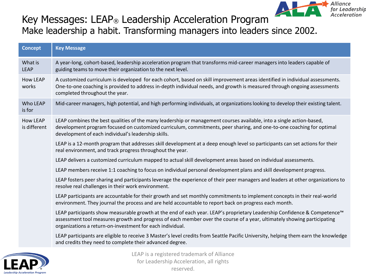

#### Key Messages: LEAP® Leadership Acceleration Program Make leadership a habit. Transforming managers into leaders since 2002.

| <b>Concept</b>                  | <b>Key Message</b>                                                                                                                                                                                                                                                                                               |
|---------------------------------|------------------------------------------------------------------------------------------------------------------------------------------------------------------------------------------------------------------------------------------------------------------------------------------------------------------|
| What is<br><b>LEAP</b>          | A year-long, cohort-based, leadership acceleration program that transforms mid-career managers into leaders capable of<br>guiding teams to move their organization to the next level.                                                                                                                            |
| <b>How LEAP</b><br>works        | A customized curriculum is developed for each cohort, based on skill improvement areas identified in individual assessments.<br>One-to-one coaching is provided to address in-depth individual needs, and growth is measured through ongoing assessments<br>completed throughout the year.                       |
| Who LEAP<br>is for              | Mid-career managers, high potential, and high performing individuals, at organizations looking to develop their existing talent.                                                                                                                                                                                 |
| <b>How LEAP</b><br>is different | LEAP combines the best qualities of the many leadership or management courses available, into a single action-based,<br>development program focused on customized curriculum, commitments, peer sharing, and one-to-one coaching for optimal<br>development of each individual's leadership skills.              |
|                                 | LEAP is a 12-month program that addresses skill development at a deep enough level so participants can set actions for their<br>real environment, and track progress throughout the year.                                                                                                                        |
|                                 | LEAP delivers a customized curriculum mapped to actual skill development areas based on individual assessments.                                                                                                                                                                                                  |
|                                 | LEAP members receive 1:1 coaching to focus on individual personal development plans and skill development progress.                                                                                                                                                                                              |
|                                 | LEAP fosters peer sharing and participants leverage the experience of their peer managers and leaders at other organizations to<br>resolve real challenges in their work environment.                                                                                                                            |
|                                 | LEAP participants are accountable for their growth and set monthly commitments to implement concepts in their real-world<br>environment. They journal the process and are held accountable to report back on progress each month.                                                                                |
|                                 | LEAP participants show measurable growth at the end of each year. LEAP's proprietary Leadership Confidence & Competence™<br>assessment tool measures growth and progress of each member over the course of a year, ultimately showing participating<br>organizations a return-on-investment for each individual. |
|                                 | LEAP participants are eligible to receive 3 Master's level credits from Seattle Pacific University, helping them earn the knowledge<br>and credits they need to complete their advanced degree.                                                                                                                  |
|                                 | the contract of the contract of the contract of the contract of the contract of                                                                                                                                                                                                                                  |

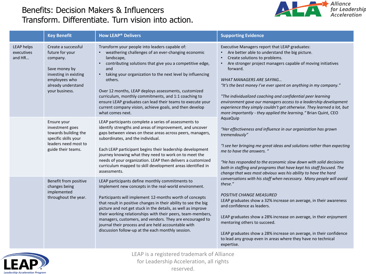#### Benefits: Decision Makers & Influencers Transform. Differentiate. Turn vision into action.



|                                           | <b>Key Benefit</b>                                                                                                                                    | <b>How LEAP<sup>®</sup> Delivers</b>                                                                                                                                                                                                                                                                                                                                                                                                                                                                                                                 | <b>Supporting Evidence</b>                                                                                                                                                                                                                                                                                                                                                                                                                                                                                                                                                                                                      |
|-------------------------------------------|-------------------------------------------------------------------------------------------------------------------------------------------------------|------------------------------------------------------------------------------------------------------------------------------------------------------------------------------------------------------------------------------------------------------------------------------------------------------------------------------------------------------------------------------------------------------------------------------------------------------------------------------------------------------------------------------------------------------|---------------------------------------------------------------------------------------------------------------------------------------------------------------------------------------------------------------------------------------------------------------------------------------------------------------------------------------------------------------------------------------------------------------------------------------------------------------------------------------------------------------------------------------------------------------------------------------------------------------------------------|
| <b>LEAP helps</b><br>executives<br>and HR | Create a successful<br>future for your<br>company.<br>Save money by<br>investing in existing<br>employees who<br>already understand<br>your business. | Transform your people into leaders capable of:<br>weathering challenges of an ever-changing economic<br>landscape,<br>contributing solutions that give you a competitive edge,<br>$\bullet$<br>and<br>taking your organization to the next level by influencing<br>$\bullet$<br>others.<br>Over 12 months, LEAP deploys assessments, customized<br>curriculum, monthly commitments, and 1:1 coaching to<br>ensure LEAP graduates can lead their teams to execute your<br>current company vision, achieve goals, and then develop<br>what comes next. | Executive Managers report that LEAP graduates:<br>• Are better able to understand the big picture.<br>Create solutions to problems.<br>$\bullet$<br>Are stronger project managers capable of moving initiatives<br>$\bullet$<br>forward.<br><b>WHAT MANAGERS ARE SAYING</b><br>"It's the best money I've ever spent on anything in my company."<br>"The individualized coaching and confidential peer learning<br>environment gave our managers access to a leadership development<br>experience they simply couldn't get otherwise. They learned a lot, but<br>more importantly - they applied the learning." Brian Quint, CEO |
|                                           | Ensure your<br>investment goes<br>towards building the<br>specific skills your<br>leaders need most to<br>guide their teams.                          | LEAP participants complete a series of assessments to<br>identify strengths and areas of improvement, and uncover<br>gaps between views on these areas across peers, managers,<br>subordinates, and the individual.<br>Each LEAP participant begins their leadership development<br>journey knowing what they need to work on to meet the<br>needs of your organization. LEAP then delivers a customized<br>curriculum mapped to skill development areas identified in<br>assessments.                                                               | <b>AquaQuip</b><br>"Her effectiveness and influence in our organization has grown<br>tremendously"<br>"I see her bringing me great ideas and solutions rather than expecting<br>me to have the answers. "<br>"He has responded to the economic slow down with solid decisions<br>both in staffing and programs that have kept his staff focused. The<br>change that was most obvious was his ability to have the hard                                                                                                                                                                                                           |
|                                           | Benefit from positive<br>changes being<br>implemented<br>throughout the year.                                                                         | LEAP participants define monthly commitments to<br>implement new concepts in the real-world environment.<br>Participants will implement 12-months worth of concepts<br>that result in positive changes in their ability to see the big<br>picture and not get stuck in the details, as well as improve<br>their working relationships with their peers, team-members,<br>managers, customers, and vendors. They are encouraged to<br>journal their process and are held accountable with<br>discussion follow-up at the each monthly session.        | conversations with his staff when necessary. Many people will avoid<br>these."<br><b>POSITIVE CHANGE MEASURED</b><br>LEAP graduates show a 32% increase on average, in their awareness<br>and confidence as leaders.<br>LEAP graduates show a 28% increase on average, in their enjoyment<br>mentoring others to succeed.<br>LEAP graduates show a 28% increase on average, in their confidence<br>to lead any group even in areas where they have no technical<br>expertise.                                                                                                                                                   |

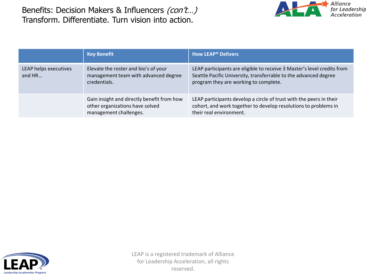Benefits: Decision Makers & Influencers (con't...) Transform. Differentiate. Turn vision into action.



|                                 | <b>Key Benefit</b>                                                                                      | <b>How LEAP<sup>®</sup> Delivers</b>                                                                                                                                                 |
|---------------------------------|---------------------------------------------------------------------------------------------------------|--------------------------------------------------------------------------------------------------------------------------------------------------------------------------------------|
| LEAP helps executives<br>and HR | Elevate the roster and bio's of your<br>management team with advanced degree<br>credentials.            | LEAP participants are eligible to receive 3 Master's level credits from<br>Seattle Pacific University, transferrable to the advanced degree<br>program they are working to complete. |
|                                 | Gain insight and directly benefit from how<br>other organizations have solved<br>management challenges. | LEAP participants develop a circle of trust with the peers in their<br>cohort, and work together to develop resolutions to problems in<br>their real environment.                    |

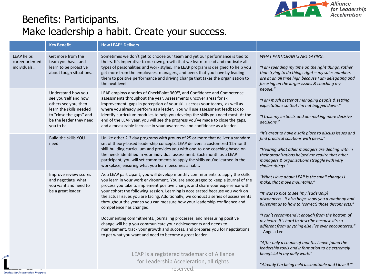

### Benefits: Participants. Make leadership a habit. Create your success.

|                                                     | <b>Key Benefit</b>                                                                                                                                                | <b>How LEAP<sup>®</sup> Delivers</b>                                                                                                                                                                                                                                                                                                                                                                                                                                                                                                                                                                                                                                                                                                                                                                                       |                                                                                                                                                                                                                                                                                                                                                                                                                  |  |
|-----------------------------------------------------|-------------------------------------------------------------------------------------------------------------------------------------------------------------------|----------------------------------------------------------------------------------------------------------------------------------------------------------------------------------------------------------------------------------------------------------------------------------------------------------------------------------------------------------------------------------------------------------------------------------------------------------------------------------------------------------------------------------------------------------------------------------------------------------------------------------------------------------------------------------------------------------------------------------------------------------------------------------------------------------------------------|------------------------------------------------------------------------------------------------------------------------------------------------------------------------------------------------------------------------------------------------------------------------------------------------------------------------------------------------------------------------------------------------------------------|--|
| <b>LEAP helps</b><br>career oriented<br>individuals | Get more from the<br>team you have, and<br>learn to be proactive<br>about tough situations.                                                                       | Sometimes we don't get to choose our team and yet our performance is tied to<br>theirs. It's imperative to our own growth that we learn to lead and motivate all<br>types of personalities and work styles. The LEAP program is designed to help you<br>get more from the employees, managers, and peers that you have by leading<br>them to positive performance and driving change that takes the organization to<br>the next level.                                                                                                                                                                                                                                                                                                                                                                                     | WHAT PARTICIPANTS ARE SAYING<br>"I am spending my time on the right things, rather<br>than trying to do things right - my sales numbers<br>are at an all time high because I am delegating and<br>focusing on the larger issues & coaching my                                                                                                                                                                    |  |
|                                                     | Understand how you<br>see yourself and how<br>others see you; then<br>learn the skills needed<br>to "close the gaps" and<br>be the leader they need<br>you to be. | LEAP employs a series of CheckPoint 360™, and Confidence and Competence<br>assessments throughout the year. Assessments uncover areas for skill<br>improvement, gaps in perception of your skills across your teams, as well as<br>where you already perform as a leader. You will use assessment feedback to<br>identify curriculum modules to help you develop the skills you need most. At the<br>end of the LEAP year, you will see the progress you've made to close the gaps,<br>and a measurable increase in your awareness and confidence as a leader.                                                                                                                                                                                                                                                             | people."<br>"I am much better at managing people & setting<br>expectations so that I'm not bogged down."<br>"I trust my instincts and am making more decisive<br>decisions."                                                                                                                                                                                                                                     |  |
|                                                     | Build the skills YOU<br>need.                                                                                                                                     | Unlike other 2-3 day programs with groups of 25 or more that deliver a standard<br>set of theory-based leadership concepts, LEAP delivers a customized 12-month<br>skill-building curriculum and provides you with one-to-one coaching based on<br>the needs identified in your individual assessment. Each month as a LEAP<br>participant, you will set commitments to apply the skills you've learned in the<br>workplace, ensuring what you learn becomes a habit.                                                                                                                                                                                                                                                                                                                                                      | "It's great to have a safe place to discuss issues and<br>find practical solutions with peers."<br>"Hearing what other managers are dealing with in<br>their organizations helped me realize that other<br>managers & organizations struggle with very<br>similar things."                                                                                                                                       |  |
|                                                     | Improve review scores<br>and negotiate what<br>you want and need to<br>be a great leader.                                                                         | As a LEAP participant, you will develop monthly commitments to apply the skills<br>you learn in your work environment. You are encouraged to keep a journal of the<br>process you take to implement positive change, and share your experience with<br>your cohort the following session. Learning is accelerated because you work on<br>the actual issues you are facing. Additionally, we conduct a series of assessments<br>throughout the year so you can measure how your leadership confidence and<br>competence has changed.<br>Documenting commitments, journaling processes, and measuring positive<br>change will help you communicate your achievements and needs to<br>management, track your growth and success, and prepares you for negotiations<br>to get what you want and need to become a great leader. | "What I love about LEAP is the small changes I<br>make, that move mountains."<br>"It was so nice to see (my leadership)<br>disconnectsit also helps show you a roadmap and<br>blueprint as to how to (correct) those disconnects."<br>"I can't recommend it enough from the bottom of<br>my heart. It's hard to describe because it's so<br>different from anything else I've ever encountered."<br>- Angela Lee |  |
|                                                     |                                                                                                                                                                   | LEAP is a registered trademark of Alliance<br>for Leadership Acceleration, all rights<br>reserved.                                                                                                                                                                                                                                                                                                                                                                                                                                                                                                                                                                                                                                                                                                                         | "After only a couple of months I have found the<br>leadership tools and information to be extremely<br>beneficial in my daily work."<br>"Already I'm being held accountable and I love it!"                                                                                                                                                                                                                      |  |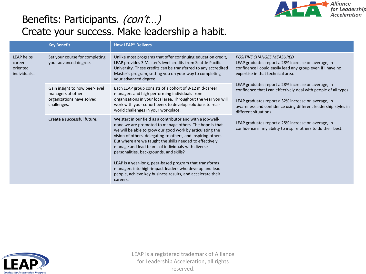

### Benefits: Participants. (con't...) Create your success. Make leadership a habit.

|                                                        | <b>Key Benefit</b>                                                                              | <b>How LEAP<sup>®</sup> Delivers</b>                                                                                                                                                                                                                                                                                                                                                                                                                                                                                                                                                                            |                                                                                                                                                                                                                                                                          |  |
|--------------------------------------------------------|-------------------------------------------------------------------------------------------------|-----------------------------------------------------------------------------------------------------------------------------------------------------------------------------------------------------------------------------------------------------------------------------------------------------------------------------------------------------------------------------------------------------------------------------------------------------------------------------------------------------------------------------------------------------------------------------------------------------------------|--------------------------------------------------------------------------------------------------------------------------------------------------------------------------------------------------------------------------------------------------------------------------|--|
| <b>LEAP helps</b><br>career<br>oriented<br>individuals | Set your course for completing<br>your advanced degree.                                         | Unlike most programs that offer continuing education credit,<br>LEAP provides 3 Master's level credits from Seattle Pacific<br>University. These credits can be transferred to any accredited<br>Master's program, setting you on your way to completing<br>your advanced degree.                                                                                                                                                                                                                                                                                                                               | <b>POSITIVE CHANGES MEASURED</b><br>LEAP graduates report a 28% increase on average, in<br>confidence I could easily lead any group even if I have no<br>expertise in that technical area.                                                                               |  |
|                                                        | Gain insight to how peer-level<br>managers at other<br>organizations have solved<br>challenges. | Each LEAP group consists of a cohort of 8-12 mid-career<br>managers and high performing individuals from<br>organizations in your local area. Throughout the year you will<br>work with your cohort peers to develop solutions to real-<br>world challenges in your workplace.                                                                                                                                                                                                                                                                                                                                  | LEAP graduates report a 28% increase on average, in<br>confidence that I can effectively deal with people of all types.<br>LEAP graduates report a 32% increase on average, in<br>awareness and confidence using different leadership styles in<br>different situations. |  |
|                                                        | Create a successful future.                                                                     | We start in our field as a contributor and with a job-well-<br>done we are promoted to manage others. The hope is that<br>we will be able to grow our good work by articulating the<br>vision of others, delegating to others, and inspiring others.<br>But where are we taught the skills needed to effectively<br>manage and lead teams of individuals with diverse<br>personalities, backgrounds, and skills?<br>LEAP is a year-long, peer-based program that transforms<br>managers into high-impact leaders who develop and lead<br>people, achieve key business results, and accelerate their<br>careers. | LEAP graduates report a 25% increase on average, in<br>confidence in my ability to inspire others to do their best.                                                                                                                                                      |  |

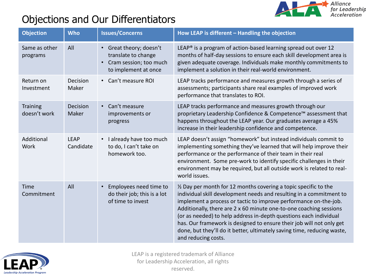

# Objections and Our Differentiators

| <b>Objection</b>                | <b>Who</b>               | <b>Issues/Concerns</b>                                                                           | How LEAP is different - Handling the objection                                                                                                                                                                                                                                                                                                                                                                                                                                                                                   |
|---------------------------------|--------------------------|--------------------------------------------------------------------------------------------------|----------------------------------------------------------------------------------------------------------------------------------------------------------------------------------------------------------------------------------------------------------------------------------------------------------------------------------------------------------------------------------------------------------------------------------------------------------------------------------------------------------------------------------|
| Same as other<br>programs       | All                      | • Great theory; doesn't<br>translate to change<br>Cram session; too much<br>to implement at once | LEAP <sup>®</sup> is a program of action-based learning spread out over 12<br>months of half-day sessions to ensure each skill development area is<br>given adequate coverage. Individuals make monthly commitments to<br>implement a solution in their real-world environment.                                                                                                                                                                                                                                                  |
| Return on<br>Investment         | Decision<br>Maker        | • Can't measure ROI                                                                              | LEAP tracks performance and measures growth through a series of<br>assessments; participants share real examples of improved work<br>performance that translates to ROI.                                                                                                                                                                                                                                                                                                                                                         |
| <b>Training</b><br>doesn't work | <b>Decision</b><br>Maker | • Can't measure<br>improvements or<br>progress                                                   | LEAP tracks performance and measures growth through our<br>proprietary Leadership Confidence & Competence™ assessment that<br>happens throughout the LEAP year. Our graduates average a 45%<br>increase in their leadership confidence and competence.                                                                                                                                                                                                                                                                           |
| Additional<br>Work              | <b>LEAP</b><br>Candidate | I already have too much<br>to do, I can't take on<br>homework too.                               | LEAP doesn't assign "homework" but instead individuals commit to<br>implementing something they've learned that will help improve their<br>performance or the performance of their team in their real<br>environment. Some pre-work to identify specific challenges in their<br>environment may be required, but all outside work is related to real-<br>world issues.                                                                                                                                                           |
| Time<br>Commitment              | All                      | Employees need time to<br>$\bullet$<br>do their job; this is a lot<br>of time to invest          | 1/2 Day per month for 12 months covering a topic specific to the<br>individual skill development needs and resulting in a commitment to<br>implement a process or tactic to improve performance on-the-job.<br>Additionally, there are 2 x 60 minute one-to-one coaching sessions<br>(or as needed) to help address in-depth questions each individual<br>has. Our framework is designed to ensure their job will not only get<br>done, but they'll do it better, ultimately saving time, reducing waste,<br>and reducing costs. |

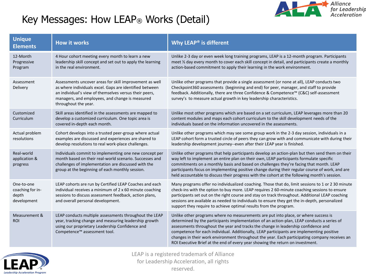

# Key Messages: How LEAP® Works (Detail)

| <b>Unique</b><br><b>Elements</b>                       | <b>How it works</b>                                                                                                                                                                                                                                     | Why LEAP <sup>®</sup> is different                                                                                                                                                                                                                                                                                                                                                                                                                                                                                                                      |
|--------------------------------------------------------|---------------------------------------------------------------------------------------------------------------------------------------------------------------------------------------------------------------------------------------------------------|---------------------------------------------------------------------------------------------------------------------------------------------------------------------------------------------------------------------------------------------------------------------------------------------------------------------------------------------------------------------------------------------------------------------------------------------------------------------------------------------------------------------------------------------------------|
| 12-Month<br>Progressive<br>Program                     | 4 Hour cohort meeting every month to learn a new<br>leadership skill concept and set out to apply the learning<br>in the real environment.                                                                                                              | Unlike 2-3 day or even week long training programs, LEAP is a 12-month program. Participants<br>meet 1/2 day every month to cover each skill concept in detail, and participants create a monthly<br>action-based commitment to apply their learning in the work environment.                                                                                                                                                                                                                                                                           |
| Assessment<br>Delivery                                 | Assessments uncover areas for skill improvement as well<br>as where individuals excel. Gaps are identified between<br>an individual's view of themselves versus their peers,<br>managers, and employees, and change is measured<br>throughout the year. | Unlike other programs that provide a single assessment (or none at all), LEAP conducts two<br>Checkpoint360 assessments (beginning and end) for peer, manager, and staff to provide<br>feedback. Additionally, there are three Confidence & Competence™ (C&C) self-assessment<br>survey's to measure actual growth in key leadership characteristics.                                                                                                                                                                                                   |
| Customized<br>Curriculum                               | Skill areas identified in the assessments are mapped to<br>develop a customized curriculum. One topic area is<br>covered in-depth each month.                                                                                                           | Unlike most other programs which are based on a set curriculum, LEAP leverages more than 20<br>content modules and maps each cohort curriculum to the skill development needs of the<br>individuals based on the information uncovered in the assessments.                                                                                                                                                                                                                                                                                              |
| Actual problem<br>resolutions                          | Cohort develops into a trusted peer-group where actual<br>examples are discussed and experiences are shared to<br>develop resolutions to real work-place challenges.                                                                                    | Unlike other programs which may see some group work in the 2-3 day session, individuals in a<br>LEAP cohort form a trusted circle of peers they can grow with and communicate with during their<br>leadership development journey--even after their LEAP year is finished.                                                                                                                                                                                                                                                                              |
| Real-world<br>application &<br>progress                | Individuals commit to implementing one new concept per<br>month based on their real-world scenario. Successes and<br>challenges of implementation are discussed with the<br>group at the beginning of each monthly session.                             | Unlike other programs that help participants develop an action-plan but then send them on their<br>way left to implement an entire plan on their own, LEAP participants formulate specific<br>commitments on a monthly basis and based on challenges they're facing that month. LEAP<br>participants focus on implementing positive change during their regular course of work, and are<br>held accountable to discuss their progress with the cohort at the following month's session.                                                                 |
| One-to-one<br>coaching for in-<br>depth<br>development | LEAP cohorts are run by Certified LEAP Coaches and each<br>individual receives a minimum of 2 x 60 minute coaching<br>sessions to discuss assessment feedback, action plans,<br>and overall personal development.                                       | Many programs offer no individualized coaching. Those that do, limit sessions to 1 or 2 30 minute<br>check-ins with the option to buy more. LEAP requires 2 60-minute coaching sessions to ensure<br>participants set out on the right course and stay on track throughout. Additional LEAP coaching<br>sessions are available as needed to individuals to ensure they get the in-depth, personalized<br>support they require to achieve optimal results from the program.                                                                              |
| Measurement &<br><b>ROI</b>                            | LEAP conducts multiple assessments throughout the LEAP<br>year, tracking change and measuring leadership growth<br>using our proprietary Leadership Confidence and<br>Competence™ assessment tool.                                                      | Unlike other programs where no measurements are put into place, or where success is<br>determined by the participants implementation of an action-plan, LEAP conducts a series of<br>assessments throughout the year and tracks the change in leadership confidence and<br>competence for each individual. Additionally, LEAP participants are implementing positive<br>changes in their work environment throughout the year. Each participating company receives an<br>ROI Executive Brief at the end of every year showing the return on investment. |

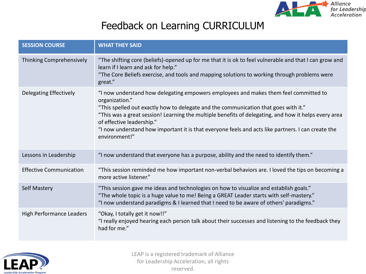

## Feedback on Learning CURRICULUM

| <b>SESSION COURSE</b>           | <b>WHAT THEY SAID</b>                                                                                                                                                                                                                                                                                                                                                                                                                                     |
|---------------------------------|-----------------------------------------------------------------------------------------------------------------------------------------------------------------------------------------------------------------------------------------------------------------------------------------------------------------------------------------------------------------------------------------------------------------------------------------------------------|
| Thinking Comprehensively        | "The shifting core (beliefs)-opened up for me that it is ok to feel vulnerable and that I can grow and<br>learn if I learn and ask for help."<br>"The Core Beliefs exercise, and tools and mapping solutions to working through problems were<br>great."                                                                                                                                                                                                  |
| Delegating Effectively          | "I now understand how delegating empowers employees and makes them feel committed to<br>organization."<br>"This spelled out exactly how to delegate and the communication that goes with it."<br>"This was a great session! Learning the multiple benefits of delegating, and how it helps every area<br>of effective leadership."<br>"I now understand how important it is that everyone feels and acts like partners. I can create the<br>environment!" |
| Lessons in Leadership           | "I now understand that everyone has a purpose, ability and the need to identify them."                                                                                                                                                                                                                                                                                                                                                                    |
| <b>Effective Communication</b>  | "This session reminded me how important non-verbal behaviors are. I loved the tips on becoming a<br>more active listener."                                                                                                                                                                                                                                                                                                                                |
| <b>Self Mastery</b>             | "This session gave me ideas and technologies on how to visualize and establish goals."<br>"The whole topic is a huge value to me! Being a GREAT Leader starts with self-mastery."<br>"I now understand paradigms & I learned that I need to be aware of others' paradigms."                                                                                                                                                                               |
| <b>High Performance Leaders</b> | "Okay, I totally get it now!!"<br>"I really enjoyed hearing each person talk about their successes and listening to the feedback they<br>had for me."                                                                                                                                                                                                                                                                                                     |